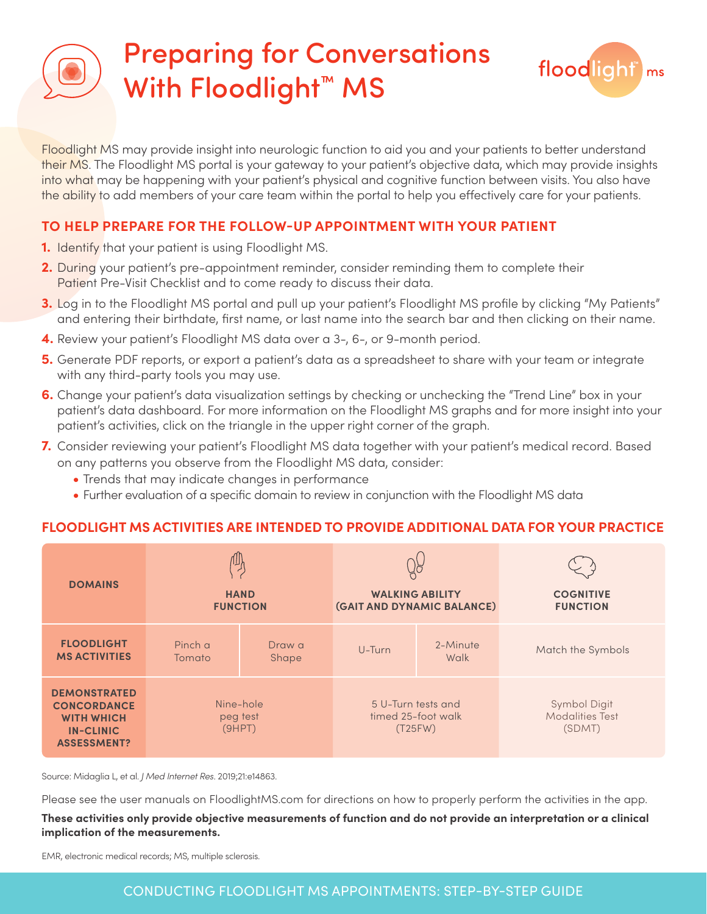## Preparing for Conversations With Floodlight<sup>™</sup> MS



Floodlight MS may provide insight into neurologic function to aid you and your patients to better understand their MS. The Floodlight MS portal is your gateway to your patient's objective data, which may provide insights into what may be happening with your patient's physical and cognitive function between visits. You also have the ability to add members of your care team within the portal to help you effectively care for your patients.

### **TO HELP PREPARE FOR THE FOLLOW-UP APPOINTMENT WITH YOUR PATIENT**

- **1.** Identify that your patient is using Floodlight MS.
- **2.** During your patient's pre-appointment reminder, consider reminding them to complete their Patient Pre-Visit Checklist and to come ready to discuss their data.
- **3.** Log in to the Floodlight MS portal and pull up your patient's Floodlight MS profile by clicking "My Patients" and entering their birthdate, first name, or last name into the search bar and then clicking on their name.
- **4.** Review your patient's Floodlight MS data over a 3-, 6-, or 9-month period.
- **5.** Generate PDF reports, or export a patient's data as a spreadsheet to share with your team or integrate with any third-party tools you may use.
- **6.** Change your patient's data visualization settings by checking or unchecking the "Trend Line" box in your patient's data dashboard. For more information on the Floodlight MS graphs and for more insight into your patient's activities, click on the triangle in the upper right corner of the graph.
- **7.** Consider reviewing your patient's Floodlight MS data together with your patient's medical record. Based on any patterns you observe from the Floodlight MS data, consider:
	- **•** Trends that may indicate changes in performance
	- **•** Further evaluation of a specific domain to review in conjunction with the Floodlight MS data

### **FLOODLIGHT MS ACTIVITIES ARE INTENDED TO PROVIDE ADDITIONAL DATA FOR YOUR PRACTICE**

| <b>DOMAINS</b>                                                                                           | <b>HAND</b><br><b>FUNCTION</b>  |                 | $\frac{1}{2}$<br><b>WALKING ABILITY</b><br>(GAIT AND DYNAMIC BALANCE) |                  | <b>COGNITIVE</b><br><b>FUNCTION</b>              |
|----------------------------------------------------------------------------------------------------------|---------------------------------|-----------------|-----------------------------------------------------------------------|------------------|--------------------------------------------------|
| <b>FLOODLIGHT</b><br><b>MS ACTIVITIES</b>                                                                | Pinch a<br>Tomato               | Draw a<br>Shape | U-Turn                                                                | 2-Minute<br>Walk | Match the Symbols                                |
| <b>DEMONSTRATED</b><br><b>CONCORDANCE</b><br><b>WITH WHICH</b><br><b>IN-CLINIC</b><br><b>ASSESSMENT?</b> | Nine-hole<br>peg test<br>(9HPT) |                 | 5 U-Turn tests and<br>timed 25-foot walk<br>(T25FW)                   |                  | Symbol Digit<br><b>Modalities Test</b><br>(SDMT) |

Source: Midaglia L, et al. *J Med Internet Res*. 2019;21:e14863.

Please see the user manuals on FloodlightMS.com for directions on how to properly perform the activities in the app.

#### **These activities only provide objective measurements of function and do not provide an interpretation or a clinical implication of the measurements.**

EMR, electronic medical records; MS, multiple sclerosis.

### CONDUCTING FLOODLIGHT MS APPOINTMENTS: STEP-BY-STEP GUIDE